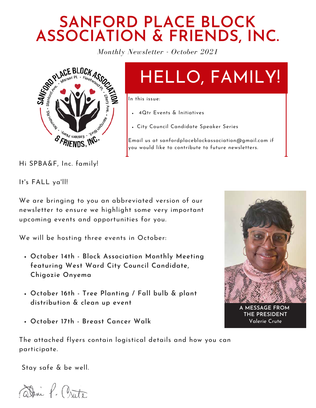### **SANFORD PLACE BLOCK ASSOCIATION & FRIENDS, INC.**

*Monthly Newsletter - October 2021*



# HELLO, FAMILY!

In this issue:

- 4Qtr Events & Initiatives
- City Council Candidate Speaker Series

Email us at sanfordplaceblockassociation@gmail.com if you would like to contribute to future newsletters.

Hi SPBA&F, Inc. family!

It's FALL ya'll!

We are bringing to you an abbreviated version of our newsletter to ensure we highlight some very important upcoming events and opportunities for you.

We will be hosting three events in October:

- **October 14th - Block Association Monthly Meeting featuring West Ward City Council Candidate, Chigozie Onyema**
- **October 16th - Tree Planting / Fall bulb & plant distribution & clean up event**
- **October 17th - Breast Cancer Walk**



**A MESSAGE FROM THE PRESIDENT** Valerie Crute

The attached flyers contain logistical details and how you can participate.

Stay safe & be well.

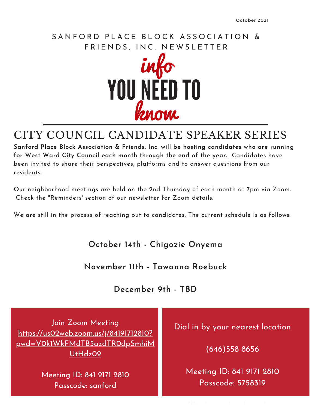#### SANFORD PLACE BLOCK ASSOCIATION & FRIENDS, INC. NEWSLETTER



#### CITY COUNCIL CANDIDATE SPEAKER SERIES

**Sanford Place Block Association & Friends, Inc. will be hosting candidates who are running for West Ward City Council each month through the end of the year.** Candidates have been invited to share their perspectives, platforms and to answer questions from our residents.

Our neighborhood meetings are held on the 2nd Thursday of each month at 7pm via Zoom. Check the "Reminders' section of our newsletter for Zoom details.

We are still in the process of reaching out to candidates. The current schedule is as follows:

**October 14th - Chigozie Onyema**

**November 11th - Tawanna Roebuck**

**December 9th - TBD**

Join Zoom Meeting https://us02web.zoom.us/j/84191712810? pwd=V0k1WkFMdTB5azdTR0dpSmhiM UtHdz09

> Meeting ID: 841 9171 2810 Passcode: sanford

Dial in by your nearest location

(646)558 8656

Meeting ID: 841 9171 2810 Passcode: 5758319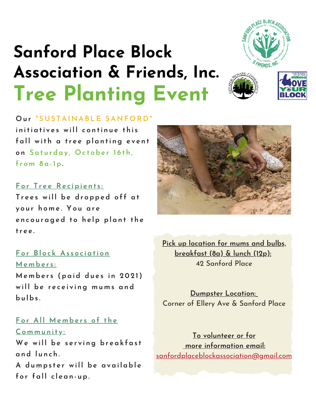

# **Sanford Place Block Association & Friends, Inc. Tree Planting Event**





**O u r " S U S TAI N ABLE SA N F O RD"**

**i n iti a ti v e s wi l l c o n ti n u e t h i s f a l l wit h a tr e e pl a n ti ng e v e n t o n S a t u rda y , O c t obe r 1 6 t h , f r o m 8 a -1p.**

#### **F o r T r e e Re c ipi e n t s :**

**T r e e s wi l l be dr opped o f f a t y o u r h o m e . Y o u a r e e n c o u r aged t o h e lp pl a n t t h e tr e e .**

#### **F o r Bl o c k As s o c i a ti o n**

**Me m be r s : Me m be r s (pa id du e s i n 202 1 ) wi l l be r e c e i v i ng m u m s a nd bu lbs .**

#### **F o r Al l Me m be r s o f t h e**

**Co m m u n it y : We wi l l be s e r v i ng br e a k f a s t a nd l u n c h . A du m ps t e r wi l l be a v a i l abl e f o r f a l l c l e a n - up.**



**Pick up location for mums and bulbs, breakfast (8a) & lunch (12p):** 42 Sanford Place

**Dumpster Location:** Corner of Ellery Ave & Sanford Place

**To volunteer or for more information email:** sanfordplaceblockassociation@gmail.com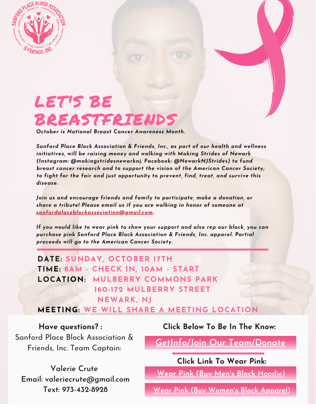

## LET'S BE BREASTFRIENDS

*October is National Breast Cancer Awareness Month.*

*Sanford Place Block Association & Friends, Inc., as part of our health and wellness initiatives, will be raising money and walking with Making Strides of Newark (Instagram: @makingstridesnewarknj. Facebook: @NewarkNJStrides) to fund breast cancer research and to support the vision of the American Cancer Society; to fight for the fair and just opportunity to prevent, find, treat, and survive this disease.*

*Join us and encourage friends and family to participate, make a donation, or share a tribute! Please email us if you are walking in honor of someone at sanfordplaceblockassociation@gmail.com.*

*If you would like to wear pink to show your support and also rep our block, you can purchase pink Sanford Place Block Association & Friends, Inc. apparel. Partial proceeds will go to the American Cancer Society.*

**DATE: SUNDAY, OCTOBER 17TH TIME: 8AM - CHECK IN, 10AM - START LOCATION: MULBERRY COMMONS PARK 160-172 MULBERRY STREET NEWARK, NJ**

**MEETING: WE WILL SHARE A MEETING LOCATION**

Sanford Place Block Association & Friends, Inc. Team Captain:

**Valerie Crute Email: valeriecrute@gmail.com Text: 973-432-8928**

**Have questions? : Click Below To Be In The Know:**

**GetInfo/Join Our Team/Donate**

**Click Link To Wear Pink:**

**Wear Pink (Buy Men's Block** Hoodie)

**Wear Pink (Buy Women's Block Apparel**)